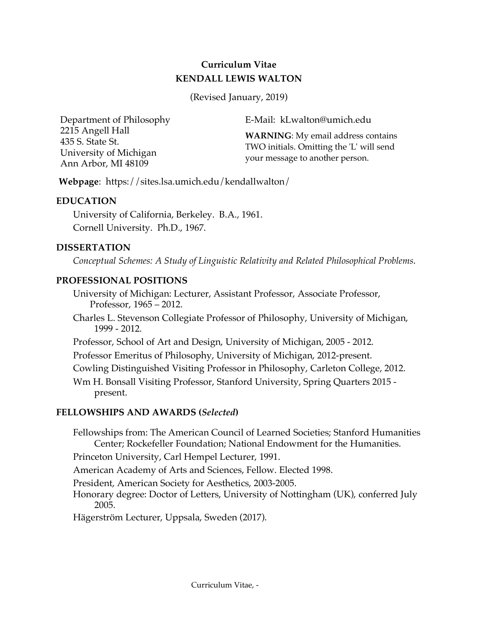# **Curriculum Vitae KENDALL LEWIS WALTON**

(Revised January, 2019)

Department of Philosophy 2215 Angell Hall 435 S. State St. University of Michigan Ann Arbor, MI 48109

E-Mail: kLwalton@umich.edu

**WARNING**: My email address contains TWO initials. Omitting the 'L' will send your message to another person.

**Webpage**: https://sites.lsa.umich.edu/kendallwalton/

## **EDUCATION**

University of California, Berkeley. B.A., 1961. Cornell University. Ph.D., 1967.

## **DISSERTATION**

*Conceptual Schemes: A Study of Linguistic Relativity and Related Philosophical Problems*.

## **PROFESSIONAL POSITIONS**

- University of Michigan: Lecturer, Assistant Professor, Associate Professor, Professor, 1965 – 2012.
- Charles L. Stevenson Collegiate Professor of Philosophy, University of Michigan, 1999 - 2012.
- Professor, School of Art and Design, University of Michigan, 2005 2012.
- Professor Emeritus of Philosophy, University of Michigan, 2012-present.
- Cowling Distinguished Visiting Professor in Philosophy, Carleton College, 2012.
- Wm H. Bonsall Visiting Professor, Stanford University, Spring Quarters 2015 present.

## **FELLOWSHIPS AND AWARDS (***Selected***)**

- Fellowships from: The American Council of Learned Societies; Stanford Humanities Center; Rockefeller Foundation; National Endowment for the Humanities.
- Princeton University, Carl Hempel Lecturer, 1991.
- American Academy of Arts and Sciences, Fellow. Elected 1998.
- President, American Society for Aesthetics, 2003-2005.
- Honorary degree: Doctor of Letters, University of Nottingham (UK), conferred July 2005.
- Hägerström Lecturer, Uppsala, Sweden (2017).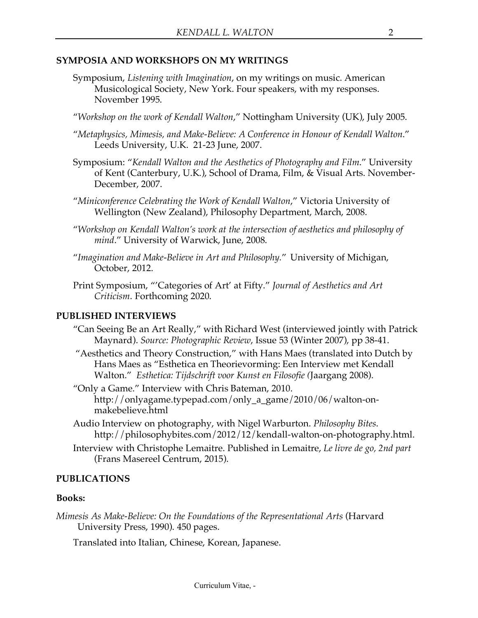## **SYMPOSIA AND WORKSHOPS ON MY WRITINGS**

- Symposium, *Listening with Imagination*, on my writings on music. American Musicological Society, New York. Four speakers, with my responses. November 1995.
- "*Workshop on the work of Kendall Walton*," Nottingham University (UK), July 2005.
- "*Metaphysics, Mimesis, and Make-Believe: A Conference in Honour of Kendall Walton*." Leeds University, U.K. 21-23 June, 2007.
- Symposium: "*Kendall Walton and the Aesthetics of Photography and Film*." University of Kent (Canterbury, U.K.), School of Drama, Film, & Visual Arts. November-December, 2007.
- "*Miniconference Celebrating the Work of Kendall Walton*," Victoria University of Wellington (New Zealand), Philosophy Department, March, 2008.
- "*Workshop on Kendall Walton's work at the intersection of aesthetics and philosophy of mind*." University of Warwick, June, 2008.
- "*Imagination and Make-Believe in Art and Philosophy.*" University of Michigan, October, 2012.
- Print Symposium, "'Categories of Art' at Fifty." *Journal of Aesthetics and Art Criticism*. Forthcoming 2020.

#### **PUBLISHED INTERVIEWS**

- "Can Seeing Be an Art Really," with Richard West (interviewed jointly with Patrick Maynard). *Source: Photographic Review*, Issue 53 (Winter 2007), pp 38-41.
- "Aesthetics and Theory Construction," with Hans Maes (translated into Dutch by Hans Maes as "Esthetica en Theorievorming: Een Interview met Kendall Walton." *Esthetica: Tijdschrift voor Kunst en Filosofie (*Jaargang 2008).
- "Only a Game." Interview with Chris Bateman, 2010. http://onlyagame.typepad.com/only\_a\_game/2010/06/walton-onmakebelieve.html
- Audio Interview on photography, with Nigel Warburton. *Philosophy Bites*. http://philosophybites.com/2012/12/kendall-walton-on-photography.html.
- Interview with Christophe Lemaitre. Published in Lemaitre, *Le livre de go, 2nd part* (Frans Masereel Centrum, 2015).

#### **PUBLICATIONS**

#### **Books:**

*Mimesis As Make-Believe: On the Foundations of the Representational Arts* (Harvard University Press, 1990). 450 pages.

Translated into Italian, Chinese, Korean, Japanese.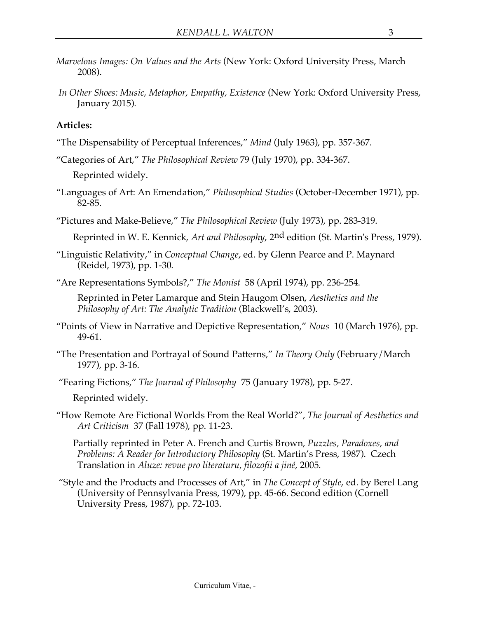- *Marvelous Images: On Values and the Arts* (New York: Oxford University Press, March 2008).
- *In Other Shoes: Music, Metaphor, Empathy, Existence* (New York: Oxford University Press, January 2015).

## **Articles:**

- "The Dispensability of Perceptual Inferences," *Mind* (July 1963), pp. 357-367.
- "Categories of Art," *The Philosophical Review* 79 (July 1970), pp. 334-367.

Reprinted widely.

- "Languages of Art: An Emendation," *Philosophical Studies* (October-December 1971), pp. 82-85.
- "Pictures and Make-Believe," *The Philosophical Review* (July 1973), pp. 283-319.
	- Reprinted in W. E. Kennick, *Art and Philosophy*, 2nd edition (St. Martin's Press, 1979).
- "Linguistic Relativity," in *Conceptual Change*, ed. by Glenn Pearce and P. Maynard (Reidel, 1973), pp. 1-30.
- "Are Representations Symbols?," *The Monist* 58 (April 1974), pp. 236-254.

Reprinted in Peter Lamarque and Stein Haugom Olsen, *Aesthetics and the Philosophy of Art: The Analytic Tradition* (Blackwell's, 2003).

- "Points of View in Narrative and Depictive Representation," *Nous* 10 (March 1976), pp. 49-61.
- "The Presentation and Portrayal of Sound Patterns," *In Theory Only* (February/March 1977), pp. 3-16.
- "Fearing Fictions," *The Journal of Philosophy* 75 (January 1978), pp. 5-27.

Reprinted widely.

"How Remote Are Fictional Worlds From the Real World?", *The Journal of Aesthetics and Art Criticism* 37 (Fall 1978), pp. 11-23.

Partially reprinted in Peter A. French and Curtis Brown, *Puzzles, Paradoxes, and Problems: A Reader for Introductory Philosophy* (St. Martin's Press, 1987). Czech Translation in *Aluze: revue pro literaturu, filozofii a jiné*, 2005.

"Style and the Products and Processes of Art," in *The Concept of Style*, ed. by Berel Lang (University of Pennsylvania Press, 1979), pp. 45-66. Second edition (Cornell University Press, 1987), pp. 72-103.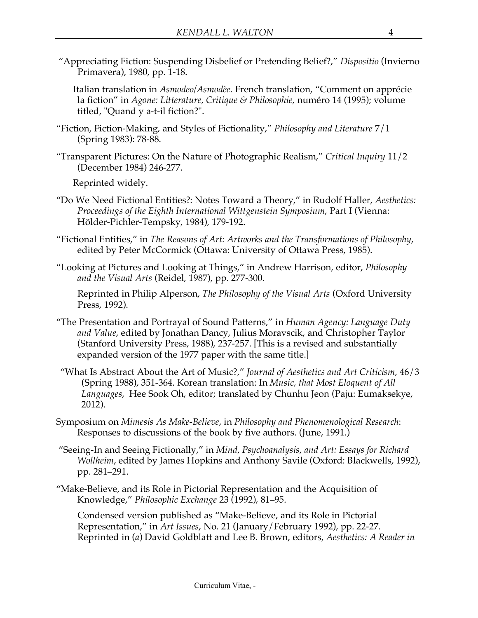"Appreciating Fiction: Suspending Disbelief or Pretending Belief?," *Dispositio* (Invierno Primavera), 1980, pp. 1-18.

Italian translation in *Asmodeo/Asmodèe*. French translation, "Comment on apprécie la fiction" in *Agone: Litterature, Critique & Philosophie,* numéro 14 (1995); volume titled, "Quand y a-t-il fiction?".

- "Fiction, Fiction-Making, and Styles of Fictionality," *Philosophy and Literature* 7/1 (Spring 1983): 78-88.
- "Transparent Pictures: On the Nature of Photographic Realism," *Critical Inquiry* 11/2 (December 1984) 246-277.

Reprinted widely.

- "Do We Need Fictional Entities?: Notes Toward a Theory," in Rudolf Haller, *Aesthetics: Proceedings of the Eighth International Wittgenstein Symposium*, Part I (Vienna: Hölder-Pichler-Tempsky, 1984), 179-192.
- "Fictional Entities," in *The Reasons of Art: Artworks and the Transformations of Philosophy*, edited by Peter McCormick (Ottawa: University of Ottawa Press, 1985).
- "Looking at Pictures and Looking at Things," in Andrew Harrison, editor, *Philosophy and the Visual Arts* (Reidel, 1987), pp. 277-300.

Reprinted in Philip Alperson, *The Philosophy of the Visual Arts* (Oxford University Press, 1992).

- "The Presentation and Portrayal of Sound Patterns," in *Human Agency: Language Duty and Value*, edited by Jonathan Dancy, Julius Moravscik, and Christopher Taylor (Stanford University Press, 1988), 237-257. [This is a revised and substantially expanded version of the 1977 paper with the same title.]
- "What Is Abstract About the Art of Music?," *Journal of Aesthetics and Art Criticism*, 46/3 (Spring 1988), 351-364. Korean translation: In *Music, that Most Eloquent of All Languages*, Hee Sook Oh, editor; translated by Chunhu Jeon (Paju: Eumaksekye, 2012).
- Symposium on *Mimesis As Make-Believe*, in *Philosophy and Phenomenological Research*: Responses to discussions of the book by five authors. (June, 1991.)
- "Seeing-In and Seeing Fictionally," in *Mind, Psychoanalysis, and Art: Essays for Richard Wollheim*, edited by James Hopkins and Anthony Savile (Oxford: Blackwells, 1992), pp. 281–291.
- "Make-Believe, and its Role in Pictorial Representation and the Acquisition of Knowledge," *Philosophic Exchange* 23 (1992), 81–95.

Condensed version published as "Make-Believe, and its Role in Pictorial Representation," in *Art Issues*, No. 21 (January/February 1992), pp. 22-27. Reprinted in (*a*) David Goldblatt and Lee B. Brown, editors, *Aesthetics: A Reader in*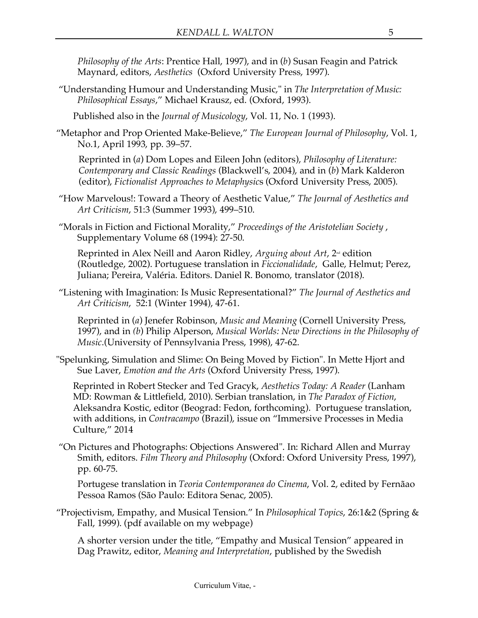*Philosophy of the Arts*: Prentice Hall, 1997), and in (*b*) Susan Feagin and Patrick Maynard, editors, *Aesthetics* (Oxford University Press, 1997).

"Understanding Humour and Understanding Music," in *The Interpretation of Music: Philosophical Essays*," Michael Krausz, ed. (Oxford, 1993).

Published also in the *Journal of Musicology*, Vol. 11, No. 1 (1993).

"Metaphor and Prop Oriented Make-Believe," *The European Journal of Philosophy*, Vol. 1, No.1, April 1993, pp. 39–57.

Reprinted in (*a*) Dom Lopes and Eileen John (editors), *Philosophy of Literature: Contemporary and Classic Readings* (Blackwell's, 2004), and in (*b*) Mark Kalderon (editor), *Fictionalist Approaches to Metaphysic*s (Oxford University Press, 2005).

- "How Marvelous!: Toward a Theory of Aesthetic Value," *The Journal of Aesthetics and Art Criticism*, 51:3 (Summer 1993), 499–510.
- "Morals in Fiction and Fictional Morality," *Proceedings of the Aristotelian Society* , Supplementary Volume 68 (1994): 27-50.

Reprinted in Alex Neill and Aaron Ridley, *Arguing about Art*, 2<sup>nd</sup> edition (Routledge, 2002). Portuguese translation in *Ficcionalidade*, Galle, Helmut; Perez, Juliana; Pereira, Valéria. Editors. Daniel R. Bonomo, translator (2018).

"Listening with Imagination: Is Music Representational?" *The Journal of Aesthetics and Art Criticism*, 52:1 (Winter 1994), 47-61.

Reprinted in (*a*) Jenefer Robinson, *Music and Meaning* (Cornell University Press, 1997), and in *(b*) Philip Alperson, *Musical Worlds: New Directions in the Philosophy of Music*.(University of Pennsylvania Press, 1998), 47-62.

"Spelunking, Simulation and Slime: On Being Moved by Fiction". In Mette Hjort and Sue Laver, *Emotion and the Arts* (Oxford University Press, 1997).

Reprinted in Robert Stecker and Ted Gracyk, *Aesthetics Today: A Reader* (Lanham MD: Rowman & Littlefield, 2010). Serbian translation, in *The Paradox of Fiction*, Aleksandra Kostic, editor (Beograd: Fedon, forthcoming). Portuguese translation, with additions, in *Contracampo* (Brazil), issue on "Immersive Processes in Media Culture," 2014

"On Pictures and Photographs: Objections Answered". In: Richard Allen and Murray Smith, editors. *Film Theory and Philosophy* (Oxford: Oxford University Press, 1997), pp. 60-75.

Portugese translation in *Teoria Contemporanea do Cinema*, Vol. 2, edited by Fernãao Pessoa Ramos (São Paulo: Editora Senac, 2005).

"Projectivism, Empathy, and Musical Tension." In *Philosophical Topics*, 26:1&2 (Spring & Fall, 1999). (pdf available on my webpage)

A shorter version under the title, "Empathy and Musical Tension" appeared in Dag Prawitz, editor, *Meaning and Interpretation*, published by the Swedish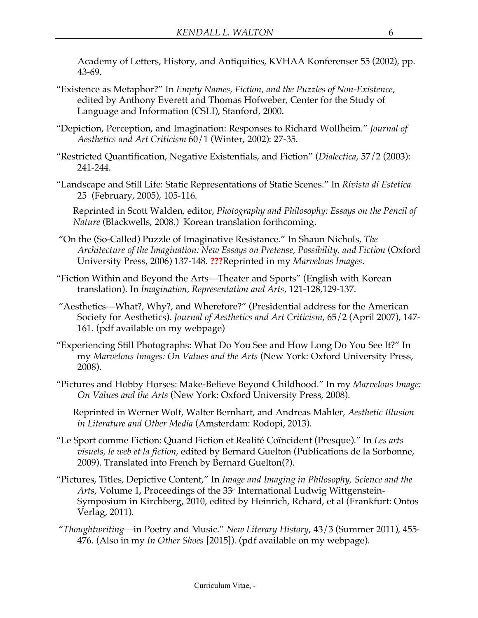Academy of Letters, History, and Antiquities, KVHAA Konferenser 55 (2002), pp. 43-69.

- "Existence as Metaphor?" In *Empty Names, Fiction, and the Puzzles of Non-Existence*, edited by Anthony Everett and Thomas Hofweber, Center for the Study of Language and Information (CSLI), Stanford, 2000.
- "Depiction, Perception, and Imagination: Responses to Richard Wollheim." *Journal of Aesthetics and Art Criticism* 60/1 (Winter, 2002): 27-35.
- "Restricted Quantification, Negative Existentials, and Fiction" (*Dialectica*, 57/2 (2003): 241-244.
- "Landscape and Still Life: Static Representations of Static Scenes." In *Rivista di Estetica*  25 (February, 2005), 105-116.

Reprinted in Scott Walden, editor, *Photography and Philosophy: Essays on the Pencil of Nature* (Blackwells, 2008.) Korean translation forthcoming.

- "On the (So-Called) Puzzle of Imaginative Resistance." In Shaun Nichols, *The Architecture of the Imagination: New Essays on Pretense, Possibility, and Fiction* (Oxford University Press, 2006) 137-148. **???**Reprinted in my *Marvelous Images*.
- "Fiction Within and Beyond the Arts—Theater and Sports" (English with Korean translation). In *Imagination, Representation and Arts*, 121-128,129-137.
- "Aesthetics—What?, Why?, and Wherefore?" (Presidential address for the American Society for Aesthetics). *Journal of Aesthetics and Art Criticism*, 65/2 (April 2007), 147- 161. (pdf available on my webpage)
- "Experiencing Still Photographs: What Do You See and How Long Do You See It?" In my *Marvelous Images: On Values and the Arts* (New York: Oxford University Press, 2008).
- "Pictures and Hobby Horses: Make-Believe Beyond Childhood." In my *Marvelous Image: On Values and the Arts* (New York: Oxford University Press, 2008).

Reprinted in Werner Wolf, Walter Bernhart, and Andreas Mahler, *Aesthetic Illusion in Literature and Other Media* (Amsterdam: Rodopi, 2013).

- "Le Sport comme Fiction: Quand Fiction et Realité Coïncident (Presque)." In *Les arts visuels, le web et la fiction*, edited by Bernard Guelton (Publications de la Sorbonne, 2009). Translated into French by Bernard Guelton(?).
- "Pictures, Titles, Depictive Content," In *Image and Imaging in Philosophy, Science and the Arts*, Volume 1, Proceedings of the 33<sup>rd</sup> International Ludwig Wittgenstein-Symposium in Kirchberg, 2010, edited by Heinrich, Rchard, et al (Frankfurt: Ontos Verlag, 2011).
- "*Thoughtwriting*—in Poetry and Music." *New Literary History*, 43/3 (Summer 2011), 455- 476. (Also in my *In Other Shoes* [2015]). (pdf available on my webpage).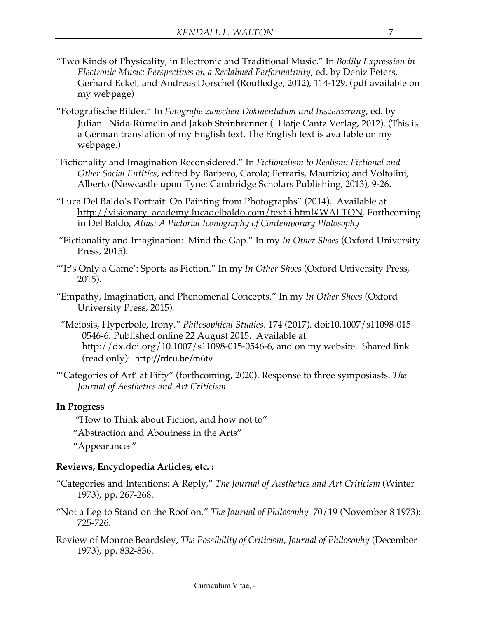- "Two Kinds of Physicality, in Electronic and Traditional Music." In *Bodily Expression in Electronic Music: Perspectives on a Reclaimed Performativity*, ed. by Deniz Peters, Gerhard Eckel, and Andreas Dorschel (Routledge, 2012), 114-129. (pdf available on my webpage)
- "Fotografische Bilder." In *Fotografie zwischen Dokmentation und Inszenierung,* ed. by Julian Nida-Rümelin and Jakob Steinbrenner ( Hatje Cantz Verlag, 2012). (This is a German translation of my English text. The English text is available on my webpage.)
- "Fictionality and Imagination Reconsidered." In *Fictionalism to Realism: Fictional and Other Social Entities*, edited by Barbero, Carola; Ferraris, Maurizio; and Voltolini, Alberto (Newcastle upon Tyne: Cambridge Scholars Publishing, 2013), 9-26.
- "Luca Del Baldo's Portrait: On Painting from Photographs" (2014). Available at http://visionary\_academy.lucadelbaldo.com/text-i.html#WALTON. Forthcoming in Del Baldo, *Atlas: A Pictorial Iconography of Contemporary Philosophy*
- "Fictionality and Imagination: Mind the Gap." In my *In Other Shoes* (Oxford University Press, 2015).
- "'It's Only a Game': Sports as Fiction." In my *In Other Shoes* (Oxford University Press, 2015).
- "Empathy, Imagination, and Phenomenal Concepts." In my *In Other Shoes* (Oxford University Press, 2015).
- "Meiosis, Hyperbole, Irony." *Philosophical Studies*. 174 (2017). doi:10.1007/s11098-015- 0546-6. Published online 22 August 2015. Available at http://dx.doi.org/10.1007/s11098-015-0546-6, and on my website. Shared link (read only): http://rdcu.be/m6tv
- "'Categories of Art' at Fifty" (forthcoming, 2020). Response to three symposiasts. *The Journal of Aesthetics and Art Criticism*.

## **In Progress**

- "How to Think about Fiction, and how not to"
- "Abstraction and Aboutness in the Arts"
- "Appearances"

## **Reviews, Encyclopedia Articles, etc. :**

- "Categories and Intentions: A Reply," *The Journal of Aesthetics and Art Criticism* (Winter 1973), pp. 267-268.
- "Not a Leg to Stand on the Roof on." *The Journal of Philosophy* 70/19 (November 8 1973): 725-726.
- Review of Monroe Beardsley, *The Possibility of Criticism*, *Journal of Philosophy* (December 1973), pp. 832-836.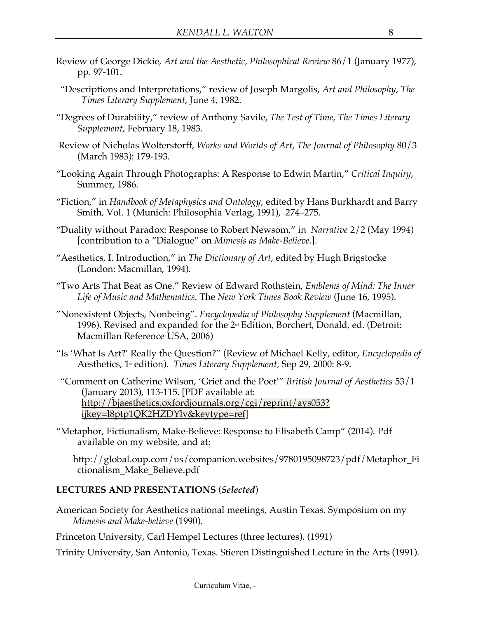- Review of George Dickie, *Art and the Aesthetic*, *Philosophical Review* 86/1 (January 1977), pp. 97-101.
- "Descriptions and Interpretations," review of Joseph Margolis, *Art and Philosophy*, *The Times Literary Supplement*, June 4, 1982.
- "Degrees of Durability," review of Anthony Savile, *The Test of Time*, *The Times Literary Supplement*, February 18, 1983.
- Review of Nicholas Wolterstorff, *Works and Worlds of Art*, *The Journal of Philosophy* 80/3 (March 1983): 179-193.
- "Looking Again Through Photographs: A Response to Edwin Martin," *Critical Inquiry*, Summer, 1986.
- "Fiction," in *Handbook of Metaphysics and Ontology*, edited by Hans Burkhardt and Barry Smith, Vol. 1 (Munich: Philosophia Verlag, 1991), 274–275.
- "Duality without Paradox: Response to Robert Newsom," in *Narrative* 2/2 (May 1994) [contribution to a "Dialogue" on *Mimesis as Make-Believe.*].
- "Aesthetics, I. Introduction," in *The Dictionary of Art*, edited by Hugh Brigstocke (London: Macmillan, 1994).
- "Two Arts That Beat as One." Review of Edward Rothstein, *Emblems of Mind: The Inner Life of Music and Mathematics*. The *New York Times Book Review* (June 16, 1995).
- "Nonexistent Objects, Nonbeing". *Encyclopedia of Philosophy Supplement* (Macmillan, 1996). Revised and expanded for the 2<sup>nd</sup> Edition, Borchert, Donald, ed. (Detroit: Macmillan Reference USA, 2006)
- "Is 'What Is Art?' Really the Question?" (Review of Michael Kelly, editor, *Encyclopedia of*  Aesthetics, 1<sup>*s*</sup> edition). *Times Literary Supplement*, Sep 29, 2000: 8-9.
- "Comment on Catherine Wilson, 'Grief and the Poet'" *British Journal of Aesthetics* 53/1 (January 2013), 113-115. [PDF available at: http://bjaesthetics.oxfordjournals.org/cgi/reprint/ays053? ijkey=l8ptp1QK2HZDYlv&keytype=ref]
- "Metaphor, Fictionalism, Make-Believe: Response to Elisabeth Camp" (2014). Pdf available on my website, and at:

http://global.oup.com/us/companion.websites/9780195098723/pdf/Metaphor\_Fi ctionalism\_Make\_Believe.pdf

## **LECTURES AND PRESENTATIONS** (*Selected*)

American Society for Aesthetics national meetings, Austin Texas. Symposium on my *Mimesis and Make-believe* (1990).

Princeton University, Carl Hempel Lectures (three lectures). (1991)

Trinity University, San Antonio, Texas. Stieren Distinguished Lecture in the Arts (1991).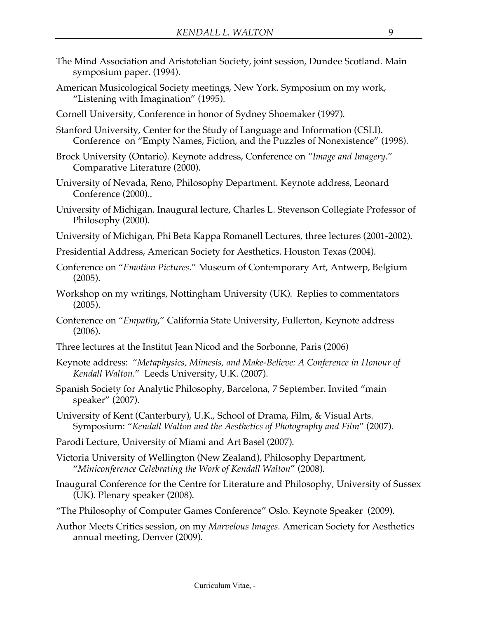- The Mind Association and Aristotelian Society, joint session, Dundee Scotland. Main symposium paper. (1994).
- American Musicological Society meetings, New York. Symposium on my work, "Listening with Imagination" (1995).
- Cornell University, Conference in honor of Sydney Shoemaker (1997).
- Stanford University, Center for the Study of Language and Information (CSLI). Conference on "Empty Names, Fiction, and the Puzzles of Nonexistence" (1998).
- Brock University (Ontario). Keynote address, Conference on "*Image and Imagery*." Comparative Literature (2000).
- University of Nevada, Reno, Philosophy Department. Keynote address, Leonard Conference (2000)..
- University of Michigan. Inaugural lecture, Charles L. Stevenson Collegiate Professor of Philosophy (2000).
- University of Michigan, Phi Beta Kappa Romanell Lectures, three lectures (2001-2002).
- Presidential Address, American Society for Aesthetics. Houston Texas (2004).
- Conference on "*Emotion Pictures*." Museum of Contemporary Art, Antwerp, Belgium (2005).
- Workshop on my writings, Nottingham University (UK). Replies to commentators (2005).
- Conference on "*Empathy*," California State University, Fullerton, Keynote address (2006).
- Three lectures at the Institut Jean Nicod and the Sorbonne, Paris (2006)
- Keynote address: "*Metaphysics, Mimesis, and Make-Believe: A Conference in Honour of Kendall Walton*." Leeds University, U.K. (2007).
- Spanish Society for Analytic Philosophy, Barcelona, 7 September. Invited "main speaker" (2007).
- University of Kent (Canterbury), U.K., School of Drama, Film, & Visual Arts. Symposium: "*Kendall Walton and the Aesthetics of Photography and Film*" (2007).
- Parodi Lecture, University of Miami and Art Basel (2007).
- Victoria University of Wellington (New Zealand), Philosophy Department, "*Miniconference Celebrating the Work of Kendall Walton*" (2008).
- Inaugural Conference for the Centre for Literature and Philosophy, University of Sussex (UK). Plenary speaker (2008).
- "The Philosophy of Computer Games Conference" Oslo. Keynote Speaker (2009).
- Author Meets Critics session, on my *Marvelous Images.* American Society for Aesthetics annual meeting, Denver (2009).